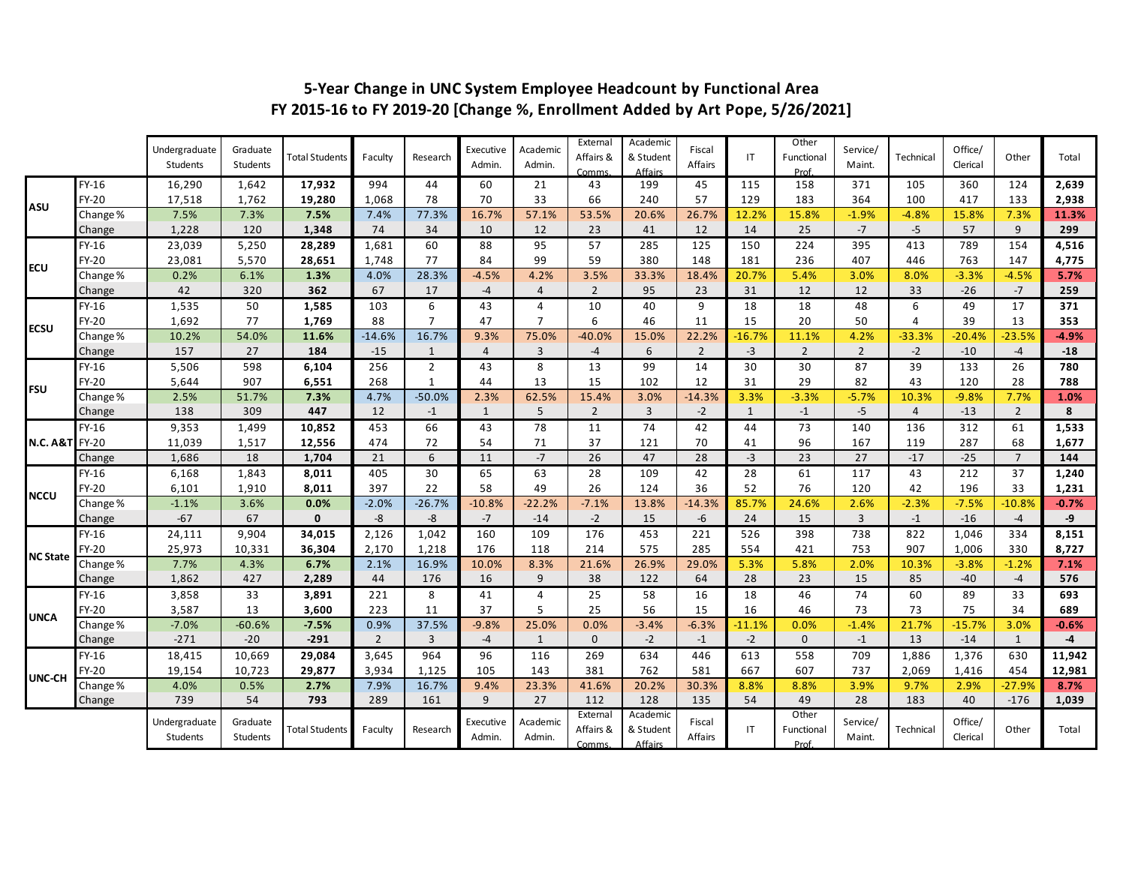|                           |              | Undergraduate<br>Students | Graduate<br>Students | <b>Total Students</b> | Faculty        | Research       | Executive<br>Admin. | Academic<br>Admin. | External<br>Affairs &<br>Comms. | Academic<br>& Student<br><b>Affairs</b> | Fiscal<br>Affairs | IT       | Other<br>Functional<br>Prof. | Service/<br>Maint. | Technical      | Office/<br>Clerical | Other          | Total   |
|---------------------------|--------------|---------------------------|----------------------|-----------------------|----------------|----------------|---------------------|--------------------|---------------------------------|-----------------------------------------|-------------------|----------|------------------------------|--------------------|----------------|---------------------|----------------|---------|
| ASU                       | $FY-16$      | 16,290                    | 1,642                | 17,932                | 994            | 44             | 60                  | 21                 | 43                              | 199                                     | 45                | 115      | 158                          | 371                | 105            | 360                 | 124            | 2,639   |
|                           | FY-20        | 17,518                    | 1,762                | 19,280                | 1,068          | 78             | 70                  | 33                 | 66                              | 240                                     | 57                | 129      | 183                          | 364                | 100            | 417                 | 133            | 2,938   |
|                           | Change%      | 7.5%                      | 7.3%                 | 7.5%                  | 7.4%           | 77.3%          | 16.7%               | 57.1%              | 53.5%                           | 20.6%                                   | 26.7%             | 12.2%    | 15.8%                        | $-1.9%$            | $-4.8%$        | 15.8%               | 7.3%           | 11.3%   |
|                           | Change       | 1,228                     | 120                  | 1,348                 | 74             | 34             | 10                  | 12                 | 23                              | 41                                      | 12                | 14       | 25                           | $-7$               | $-5$           | 57                  | 9              | 299     |
| <b>ECU</b>                | FY-16        | 23,039                    | 5,250                | 28,289                | 1,681          | 60             | 88                  | 95                 | 57                              | 285                                     | 125               | 150      | 224                          | 395                | 413            | 789                 | 154            | 4,516   |
|                           | <b>FY-20</b> | 23,081                    | 5,570                | 28,651                | 1,748          | 77             | 84                  | 99                 | 59                              | 380                                     | 148               | 181      | 236                          | 407                | 446            | 763                 | 147            | 4,775   |
|                           | Change%      | 0.2%                      | 6.1%                 | 1.3%                  | 4.0%           | 28.3%          | $-4.5%$             | 4.2%               | 3.5%                            | 33.3%                                   | 18.4%             | 20.7%    | 5.4%                         | 3.0%               | 8.0%           | $-3.3%$             | $-4.5%$        | 5.7%    |
|                           | Change       | 42                        | 320                  | 362                   | 67             | 17             | $-4$                | $\overline{4}$     | $\overline{2}$                  | 95                                      | 23                | 31       | 12                           | 12                 | 33             | $-26$               | $-7$           | 259     |
|                           | FY-16        | 1,535                     | 50                   | 1,585                 | 103            | 6              | 43                  | $\overline{4}$     | 10                              | 40                                      | 9                 | 18       | 18                           | 48                 | 6              | 49                  | 17             | 371     |
| <b>ECSU</b>               | FY-20        | 1,692                     | 77                   | 1,769                 | 88             | $\overline{7}$ | 47                  | $\overline{7}$     | 6                               | 46                                      | 11                | 15       | 20                           | 50                 | $\overline{4}$ | 39                  | 13             | 353     |
|                           | Change%      | 10.2%                     | 54.0%                | 11.6%                 | $-14.6%$       | 16.7%          | 9.3%                | 75.0%              | $-40.0%$                        | 15.0%                                   | 22.2%             | $-16.7%$ | 11.1%                        | 4.2%               | $-33.3%$       | $-20.4%$            | $-23.5%$       | $-4.9%$ |
|                           | Change       | 157                       | 27                   | 184                   | $-15$          | $\mathbf{1}$   | $\overline{4}$      | $\overline{3}$     | $-4$                            | 6                                       | $\overline{2}$    | $-3$     | $\overline{2}$               | $\overline{2}$     | $-2$           | $-10$               | $-4$           | $-18$   |
| <b>FSU</b>                | FY-16        | 5,506                     | 598                  | 6,104                 | 256            | $\overline{2}$ | 43                  | 8                  | 13                              | 99                                      | 14                | 30       | 30                           | 87                 | 39             | 133                 | 26             | 780     |
|                           | FY-20        | 5,644                     | 907                  | 6,551                 | 268            | $\mathbf{1}$   | 44                  | 13                 | 15                              | 102                                     | 12                | 31       | 29                           | 82                 | 43             | 120                 | 28             | 788     |
|                           | Change%      | 2.5%                      | 51.7%                | 7.3%                  | 4.7%           | $-50.0%$       | 2.3%                | 62.5%              | 15.4%                           | 3.0%                                    | $-14.3%$          | 3.3%     | $-3.3%$                      | $-5.7%$            | 10.3%          | $-9.8%$             | 7.7%           | 1.0%    |
|                           | Change       | 138                       | 309                  | 447                   | 12             | $-1$           | $\mathbf{1}$        | 5                  | $\overline{2}$                  | $\overline{3}$                          | $-2$              | 1        | $-1$                         | $-5$               | $\overline{4}$ | $-13$               | $\overline{2}$ | 8       |
| <b>N.C. A&amp;T</b> FY-20 | FY-16        | 9,353                     | 1,499                | 10,852                | 453            | 66             | 43                  | 78                 | 11                              | 74                                      | 42                | 44       | 73                           | 140                | 136            | 312                 | 61             | 1,533   |
|                           |              | 11,039                    | 1,517                | 12,556                | 474            | 72             | 54                  | 71                 | 37                              | 121                                     | 70                | 41       | 96                           | 167                | 119            | 287                 | 68             | 1,677   |
|                           | Change       | 1,686                     | 18                   | 1,704                 | 21             | 6              | 11                  | $-7$               | 26                              | 47                                      | 28                | $-3$     | 23                           | 27                 | $-17$          | $-25$               | $\overline{7}$ | 144     |
| <b>NCCU</b>               | FY-16        | 6,168                     | 1,843                | 8,011                 | 405            | 30             | 65                  | 63                 | 28                              | 109                                     | 42                | 28       | 61                           | 117                | 43             | 212                 | 37             | 1,240   |
|                           | FY-20        | 6,101                     | 1,910                | 8,011                 | 397            | 22             | 58                  | 49                 | 26                              | 124                                     | 36                | 52       | 76                           | 120                | 42             | 196                 | 33             | 1,231   |
|                           | Change%      | $-1.1%$                   | 3.6%                 | 0.0%                  | $-2.0%$        | $-26.7%$       | $-10.8%$            | $-22.2%$           | $-7.1%$                         | 13.8%                                   | $-14.3%$          | 85.7%    | 24.6%                        | 2.6%               | $-2.3%$        | $-7.5%$             | $-10.8%$       | $-0.7%$ |
|                           | Change       | $-67$                     | 67                   | $\mathbf 0$           | -8             | $-8$           | $-7$                | $-14$              | $-2$                            | 15                                      | $-6$              | 24       | 15                           | $\overline{3}$     | $-1$           | $-16$               | $-4$           | $-9$    |
| <b>NC State</b>           | FY-16        | 24,111                    | 9,904                | 34,015                | 2,126          | 1,042          | 160                 | 109                | 176                             | 453                                     | 221               | 526      | 398                          | 738                | 822            | 1,046               | 334            | 8,151   |
|                           | FY-20        | 25,973                    | 10,331               | 36,304                | 2,170          | 1,218          | 176                 | 118                | 214                             | 575                                     | 285               | 554      | 421                          | 753                | 907            | 1,006               | 330            | 8,727   |
|                           | Change%      | 7.7%                      | 4.3%                 | 6.7%                  | 2.1%           | 16.9%          | 10.0%               | 8.3%               | 21.6%                           | 26.9%                                   | 29.0%             | 5.3%     | 5.8%                         | 2.0%               | 10.3%          | $-3.8%$             | $-1.2%$        | 7.1%    |
|                           | Change       | 1,862                     | 427                  | 2,289                 | 44             | 176            | 16                  | 9                  | 38                              | 122                                     | 64                | 28       | 23                           | 15                 | 85             | $-40$               | $-4$           | 576     |
| <b>UNCA</b>               | FY-16        | 3,858                     | 33                   | 3,891                 | 221            | 8              | 41                  | $\overline{4}$     | 25                              | 58                                      | 16                | 18       | 46                           | 74                 | 60             | 89                  | 33             | 693     |
|                           | FY-20        | 3,587                     | 13                   | 3,600                 | 223            | 11             | 37                  | 5                  | 25                              | 56                                      | 15                | 16       | 46                           | 73                 | 73             | 75                  | 34             | 689     |
|                           | Change%      | $-7.0%$                   | $-60.6%$             | $-7.5%$               | 0.9%           | 37.5%          | $-9.8%$             | 25.0%              | 0.0%                            | $-3.4%$                                 | $-6.3%$           | $-11.1%$ | 0.0%                         | $-1.4%$            | 21.7%          | $-15.7%$            | 3.0%           | $-0.6%$ |
|                           | Change       | $-271$                    | $-20$                | $-291$                | $\overline{2}$ | $\overline{3}$ | $-4$                | $\mathbf{1}$       | $\mathbf{0}$                    | $-2$                                    | $-1$              | $-2$     | $\mathbf{0}$                 | $-1$               | 13             | $-14$               | 1              | $-4$    |
| UNC-CH                    | FY-16        | 18,415                    | 10,669               | 29,084                | 3,645          | 964            | 96                  | 116                | 269                             | 634                                     | 446               | 613      | 558                          | 709                | 1,886          | 1,376               | 630            | 11,942  |
|                           | FY-20        | 19,154                    | 10,723               | 29,877                | 3,934          | 1,125          | 105                 | 143                | 381                             | 762                                     | 581               | 667      | 607                          | 737                | 2,069          | 1,416               | 454            | 12,981  |
|                           | Change%      | 4.0%                      | 0.5%                 | 2.7%                  | 7.9%           | 16.7%          | 9.4%                | 23.3%              | 41.6%                           | 20.2%                                   | 30.3%             | 8.8%     | 8.8%                         | 3.9%               | 9.7%           | 2.9%                | $-27.9%$       | 8.7%    |
|                           | Change       | 739                       | 54                   | 793                   | 289            | 161            | 9                   | 27                 | 112                             | 128                                     | 135               | 54       | 49                           | 28                 | 183            | 40                  | $-176$         | 1,039   |
|                           |              | Undergraduate<br>Students | Graduate<br>Students | <b>Total Students</b> | Faculty        | Research       | Executive<br>Admin. | Academic<br>Admin. | External<br>Affairs &<br>Comms. | Academic<br>& Student<br>Affairs        | Fiscal<br>Affairs | IT       | Other<br>Functional<br>Prof. | Service/<br>Maint. | Technical      | Office/<br>Clerical | Other          | Total   |

## **5-Year Change in UNC System Employee Headcount by Functional Area FY 2015-16 to FY 2019-20 [Change %, Enrollment Added by Art Pope, 5/26/2021]**